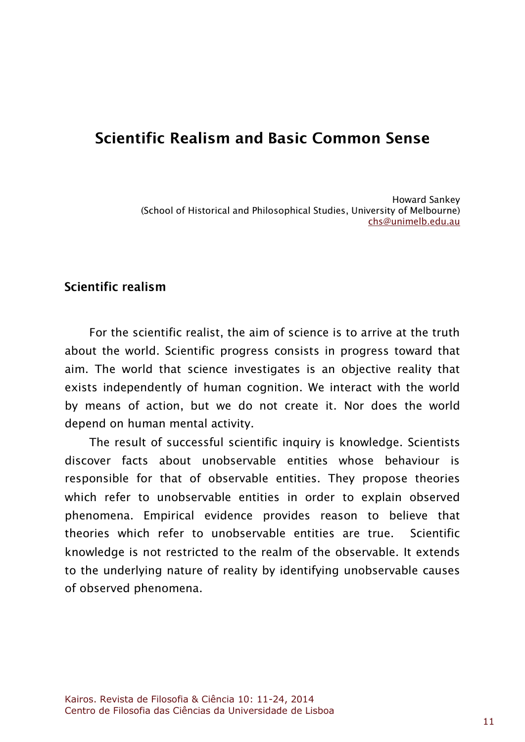# Scientific Realism and Rasic Common Sense

Howard Sankey (School of Historical and Philosophical Studies, University of Melbourne) chs@unimelb.edu.au

# Scientific realism

For the scientific realist, the aim of science is to arrive at the truth about the world. Scientific progress consists in progress toward that aim. The world that science investigates is an objective reality that exists independently of human cognition. We interact with the world by means of action, but we do not create it. Nor does the world depend on human mental activity.

The result of successful scientific inquiry is knowledge. Scientists discover facts about unobservable entities whose behaviour is responsible for that of observable entities. They propose theories which refer to unobservable entities in order to explain observed phenomena. Empirical evidence provides reason to believe that theories which refer to unobservable entities are true. Scientific knowledge is not restricted to the realm of the observable. It extends to the underlying nature of reality by identifying unobservable causes of observed phenomena.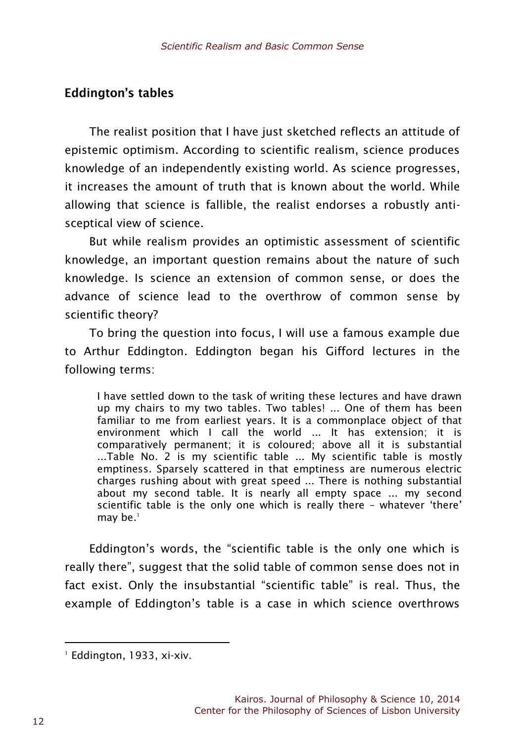# **Eddington's tables**

The realist position that I have just sketched reflects an attitude of epistemic optimism. According to scientific realism, science produces knowledge of an independently existing world. As science progresses, it increases the amount of truth that is known about the world. While allowing that science is fallible, the realist endorses a robustly antisceptical view of science.

But while realism provides an optimistic assessment of scientific knowledge, an important question remains about the nature of such knowledge. Is science an extension of common sense, or does the advance of science lead to the overthrow of common sense by scientific theory?

To bring the question into focus, I will use a famous example due to Arthur Eddington. Eddington began his Gifford lectures in the following terms:

I have settled down to the task of writing these lectures and have drawn up my chairs to my two tables. Two tables! ... One of them has been familiar to me from earliest years. It is a commonplace object of that environment which I call the world ... It has extension; it is comparatively permanent; it is coloured; above all it is substantial ...Table No. 2 is my scientific table ... My scientific table is mostly emptiness. Sparsely scattered in that emptiness are numerous electric charges rushing about with great speed ... There is nothing substantial about my second table. It is nearly all empty space ... my second scientific table is the only one which is really there – whatever 'there' may be. $<sup>1</sup>$ </sup>

Eddington's words, the "scientific table is the only one which is really there", suggest that the solid table of common sense does not in fact exist. Only the insubstantial "scientific table" is real. Thus, the example of Eddington's table is a case in which science overthrows

<sup>&</sup>lt;sup>1</sup> Eddington, 1933, xi-xiv.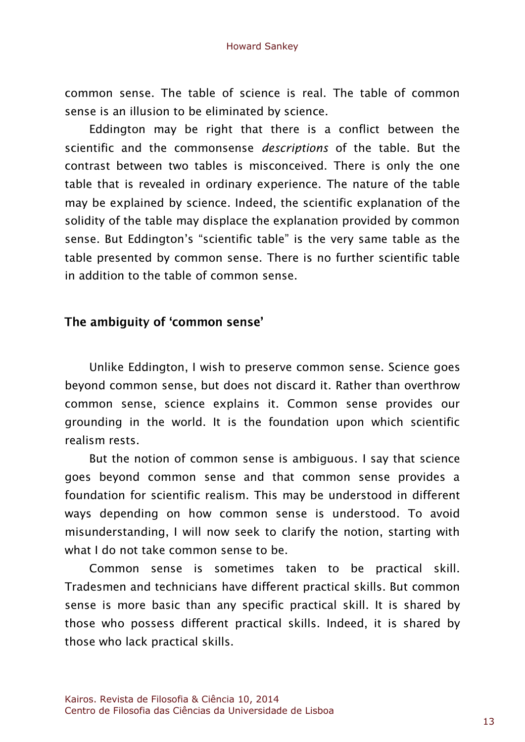common sense. The table of science is real. The table of common sense is an illusion to be eliminated by science.

Eddington may be right that there is a conflict between the scientific and the commonsense *descriptions* of the table. But the contrast between two tables is misconceived. There is only the one table that is revealed in ordinary experience. The nature of the table may be explained by science. Indeed, the scientific explanation of the solidity of the table may displace the explanation provided by common sense. But Eddington's "scientific table" is the very same table as the table presented by common sense. There is no further scientific table in addition to the table of common sense.

# The ambiquity of 'common sense'

Unlike Eddington, I wish to preserve common sense. Science goes beyond common sense, but does not discard it. Rather than overthrow common sense, science explains it. Common sense provides our grounding in the world. It is the foundation upon which scientific realism rests.

But the notion of common sense is ambiguous. I say that science goes beyond common sense and that common sense provides a foundation for scientific realism. This may be understood in different ways depending on how common sense is understood. To avoid misunderstanding, I will now seek to clarify the notion, starting with what I do not take common sense to be.

Common sense is sometimes taken to be practical skill. Tradesmen and technicians have different practical skills. But common sense is more basic than any specific practical skill. It is shared by those who possess different practical skills. Indeed, it is shared by those who lack practical skills.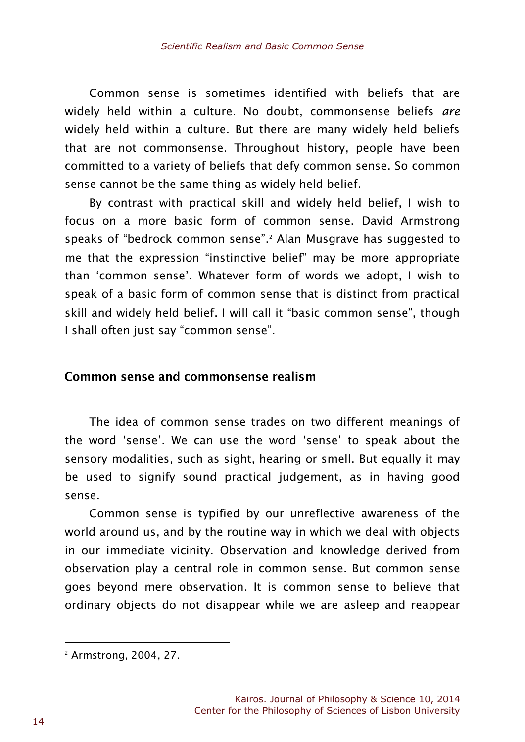Common sense is sometimes identified with beliefs that are widely held within a culture. No doubt, commonsense beliefs *are* widely held within a culture. But there are many widely held beliefs that are not commonsense. Throughout history, people have been committed to a variety of beliefs that defy common sense. So common sense cannot be the same thing as widely held belief.

By contrast with practical skill and widely held belief, I wish to focus on a more basic form of common sense. David Armstrong speaks of "bedrock common sense". <sup>2</sup> Alan Musgrave has suggested to me that the expression "instinctive belief" may be more appropriate than 'common sense'. Whatever form of words we adopt, I wish to speak of a basic form of common sense that is distinct from practical skill and widely held belief. I will call it "basic common sense", though I shall often just say "common sense".

#### Common sense and commonsense realism

The idea of common sense trades on two different meanings of the word 'sense'. We can use the word 'sense' to speak about the sensory modalities, such as sight, hearing or smell. But equally it may be used to signify sound practical judgement, as in having good sense.

Common sense is typified by our unreflective awareness of the world around us, and by the routine way in which we deal with objects in our immediate vicinity. Observation and knowledge derived from observation play a central role in common sense. But common sense goes beyond mere observation. It is common sense to believe that ordinary objects do not disappear while we are asleep and reappear

<sup>2</sup> Armstrong, 2004, 27.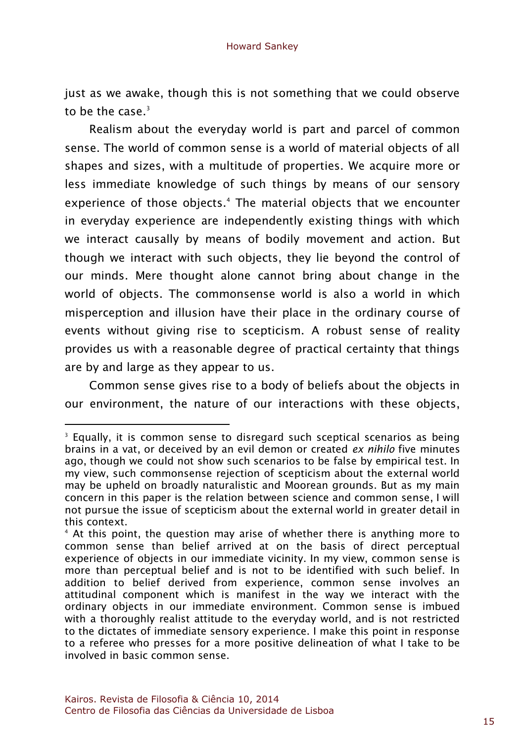just as we awake, though this is not something that we could observe to be the case. $3$ 

Realism about the everyday world is part and parcel of common sense. The world of common sense is a world of material objects of all shapes and sizes, with a multitude of properties. We acquire more or less immediate knowledge of such things by means of our sensory experience of those objects.<sup>4</sup> The material objects that we encounter in everyday experience are independently existing things with which we interact causally by means of bodily movement and action. But though we interact with such objects, they lie beyond the control of our minds. Mere thought alone cannot bring about change in the world of objects. The commonsense world is also a world in which misperception and illusion have their place in the ordinary course of events without giving rise to scepticism. A robust sense of reality provides us with a reasonable degree of practical certainty that things are by and large as they appear to us.

Common sense gives rise to a body of beliefs about the objects in our environment, the nature of our interactions with these objects,

 $\overline{a}$ 

<sup>&</sup>lt;sup>3</sup> Equally, it is common sense to disregard such sceptical scenarios as being brains in a vat, or deceived by an evil demon or created *ex nihilo* five minutes ago, though we could not show such scenarios to be false by empirical test. In my view, such commonsense rejection of scepticism about the external world may be upheld on broadly naturalistic and Moorean grounds. But as my main concern in this paper is the relation between science and common sense, I will not pursue the issue of scepticism about the external world in greater detail in this context.

<sup>&</sup>lt;sup>4</sup> At this point, the question may arise of whether there is anything more to common sense than belief arrived at on the basis of direct perceptual experience of objects in our immediate vicinity. In my view, common sense is more than perceptual belief and is not to be identified with such belief. In addition to belief derived from experience, common sense involves an attitudinal component which is manifest in the way we interact with the ordinary objects in our immediate environment. Common sense is imbued with a thoroughly realist attitude to the everyday world, and is not restricted to the dictates of immediate sensory experience. I make this point in response to a referee who presses for a more positive delineation of what I take to be involved in basic common sense.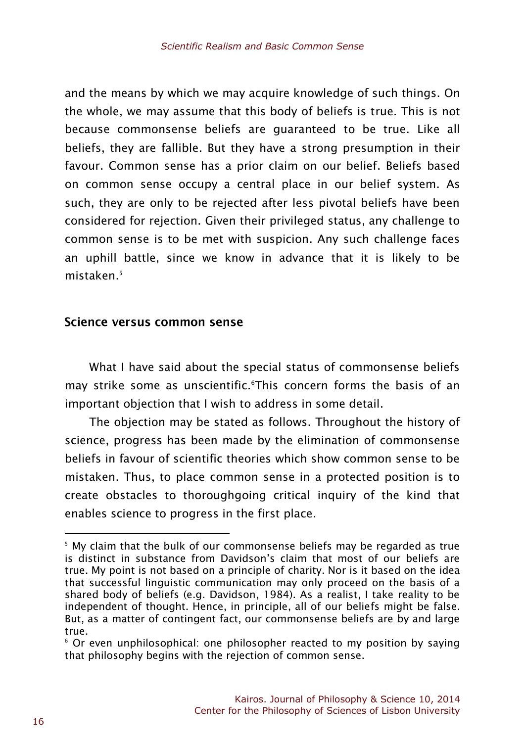and the means by which we may acquire knowledge of such things. On the whole, we may assume that this body of beliefs is true. This is not because commonsense beliefs are guaranteed to be true. Like all beliefs, they are fallible. But they have a strong presumption in their favour. Common sense has a prior claim on our belief. Beliefs based on common sense occupy a central place in our belief system. As such, they are only to be rejected after less pivotal beliefs have been considered for rejection. Given their privileged status, any challenge to common sense is to be met with suspicion. Any such challenge faces an uphill battle, since we know in advance that it is likely to be mistaken.<sup>5</sup>

#### Science versus common sense

What I have said about the special status of commonsense beliefs may strike some as unscientific.<sup>6</sup>This concern forms the basis of an important objection that I wish to address in some detail.

The objection may be stated as follows. Throughout the history of science, progress has been made by the elimination of commonsense beliefs in favour of scientific theories which show common sense to be mistaken. Thus, to place common sense in a protected position is to create obstacles to thoroughgoing critical inquiry of the kind that enables science to progress in the first place.

<sup>&</sup>lt;sup>5</sup> My claim that the bulk of our commonsense beliefs may be regarded as true is distinct in substance from Davidson's claim that most of our beliefs are true. My point is not based on a principle of charity. Nor is it based on the idea that successful linguistic communication may only proceed on the basis of a shared body of beliefs (e.g. Davidson, 1984). As a realist, I take reality to be independent of thought. Hence, in principle, all of our beliefs might be false. But, as a matter of contingent fact, our commonsense beliefs are by and large true.

<sup>&</sup>lt;sup>6</sup> Or even unphilosophical: one philosopher reacted to my position by saying that philosophy begins with the rejection of common sense.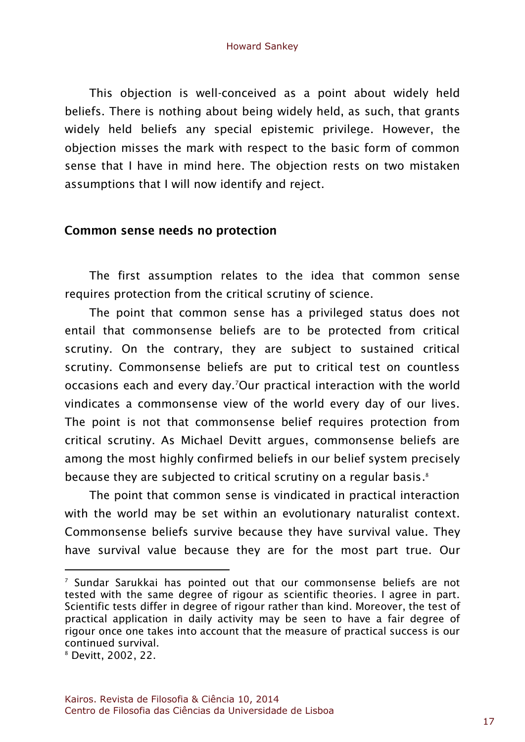This objection is well-conceived as a point about widely held beliefs. There is nothing about being widely held, as such, that grants widely held beliefs any special epistemic privilege. However, the objection misses the mark with respect to the basic form of common sense that I have in mind here. The objection rests on two mistaken assumptions that I will now identify and reject.

### Common sense needs no protection

The first assumption relates to the idea that common sense requires protection from the critical scrutiny of science.

The point that common sense has a privileged status does not entail that commonsense beliefs are to be protected from critical scrutiny. On the contrary, they are subject to sustained critical scrutiny. Commonsense beliefs are put to critical test on countless occasions each and every day.7Our practical interaction with the world vindicates a commonsense view of the world every day of our lives. The point is not that commonsense belief requires protection from critical scrutiny. As Michael Devitt argues, commonsense beliefs are among the most highly confirmed beliefs in our belief system precisely because they are subjected to critical scrutiny on a regular basis.8

The point that common sense is vindicated in practical interaction with the world may be set within an evolutionary naturalist context. Commonsense beliefs survive because they have survival value. They have survival value because they are for the most part true. Our

l

 $<sup>7</sup>$  Sundar Sarukkai has pointed out that our commonsense beliefs are not</sup> tested with the same degree of rigour as scientific theories. I agree in part. Scientific tests differ in degree of rigour rather than kind. Moreover, the test of practical application in daily activity may be seen to have a fair degree of rigour once one takes into account that the measure of practical success is our continued survival.

<sup>8</sup> Devitt, 2002, 22.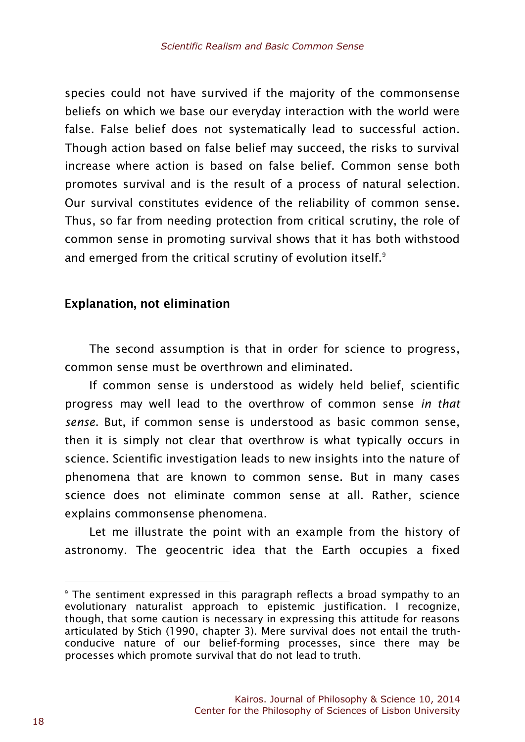species could not have survived if the majority of the commonsense beliefs on which we base our everyday interaction with the world were false. False belief does not systematically lead to successful action. Though action based on false belief may succeed, the risks to survival increase where action is based on false belief. Common sense both promotes survival and is the result of a process of natural selection. Our survival constitutes evidence of the reliability of common sense. Thus, so far from needing protection from critical scrutiny, the role of common sense in promoting survival shows that it has both withstood and emerged from the critical scrutiny of evolution itself.<sup>9</sup>

# **Explanation, not elimination**

The second assumption is that in order for science to progress, common sense must be overthrown and eliminated.

If common sense is understood as widely held belief, scientific progress may well lead to the overthrow of common sense *in that sense*. But, if common sense is understood as basic common sense, then it is simply not clear that overthrow is what typically occurs in science. Scientific investigation leads to new insights into the nature of phenomena that are known to common sense. But in many cases science does not eliminate common sense at all. Rather, science explains commonsense phenomena.

Let me illustrate the point with an example from the history of astronomy. The geocentric idea that the Earth occupies a fixed

<sup>&</sup>lt;sup>9</sup> The sentiment expressed in this paragraph reflects a broad sympathy to an evolutionary naturalist approach to epistemic justification. I recognize, though, that some caution is necessary in expressing this attitude for reasons articulated by Stich (1990, chapter 3). Mere survival does not entail the truthconducive nature of our belief-forming processes, since there may be processes which promote survival that do not lead to truth.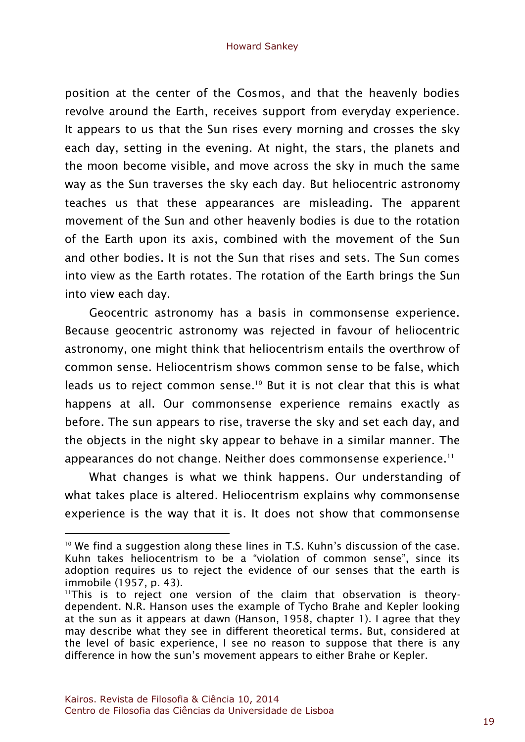position at the center of the Cosmos, and that the heavenly bodies revolve around the Earth, receives support from everyday experience. It appears to us that the Sun rises every morning and crosses the sky each day, setting in the evening. At night, the stars, the planets and the moon become visible, and move across the sky in much the same way as the Sun traverses the sky each day. But heliocentric astronomy teaches us that these appearances are misleading. The apparent movement of the Sun and other heavenly bodies is due to the rotation of the Earth upon its axis, combined with the movement of the Sun and other bodies. It is not the Sun that rises and sets. The Sun comes into view as the Earth rotates. The rotation of the Earth brings the Sun into view each day.

Geocentric astronomy has a basis in commonsense experience. Because geocentric astronomy was rejected in favour of heliocentric astronomy, one might think that heliocentrism entails the overthrow of common sense. Heliocentrism shows common sense to be false, which leads us to reject common sense.<sup>10</sup> But it is not clear that this is what happens at all. Our commonsense experience remains exactly as before. The sun appears to rise, traverse the sky and set each day, and the objects in the night sky appear to behave in a similar manner. The appearances do not change. Neither does commonsense experience.<sup>11</sup>

What changes is what we think happens. Our understanding of what takes place is altered. Heliocentrism explains why commonsense experience is the way that it is. It does not show that commonsense

 $10$  We find a suggestion along these lines in T.S. Kuhn's discussion of the case. Kuhn takes heliocentrism to be a "violation of common sense", since its adoption requires us to reject the evidence of our senses that the earth is immobile (1957, p. 43).

<sup>&</sup>lt;sup>11</sup>This is to reject one version of the claim that observation is theorydependent. N.R. Hanson uses the example of Tycho Brahe and Kepler looking at the sun as it appears at dawn (Hanson, 1958, chapter 1). I agree that they may describe what they see in different theoretical terms. But, considered at the level of basic experience, I see no reason to suppose that there is any difference in how the sun's movement appears to either Brahe or Kepler.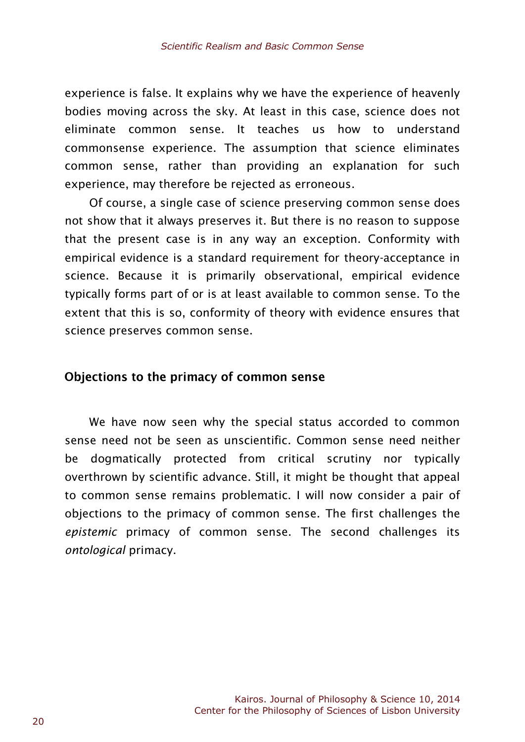experience is false. It explains why we have the experience of heavenly bodies moving across the sky. At least in this case, science does not eliminate common sense. It teaches us how to understand commonsense experience. The assumption that science eliminates common sense, rather than providing an explanation for such experience, may therefore be rejected as erroneous.

Of course, a single case of science preserving common sense does not show that it always preserves it. But there is no reason to suppose that the present case is in any way an exception. Conformity with empirical evidence is a standard requirement for theory-acceptance in science. Because it is primarily observational, empirical evidence typically forms part of or is at least available to common sense. To the extent that this is so, conformity of theory with evidence ensures that science preserves common sense.

#### Objections to the primacy of common sense

We have now seen why the special status accorded to common sense need not be seen as unscientific. Common sense need neither be dogmatically protected from critical scrutiny nor typically overthrown by scientific advance. Still, it might be thought that appeal to common sense remains problematic. I will now consider a pair of objections to the primacy of common sense. The first challenges the *epistemic* primacy of common sense. The second challenges its *ontological* primacy.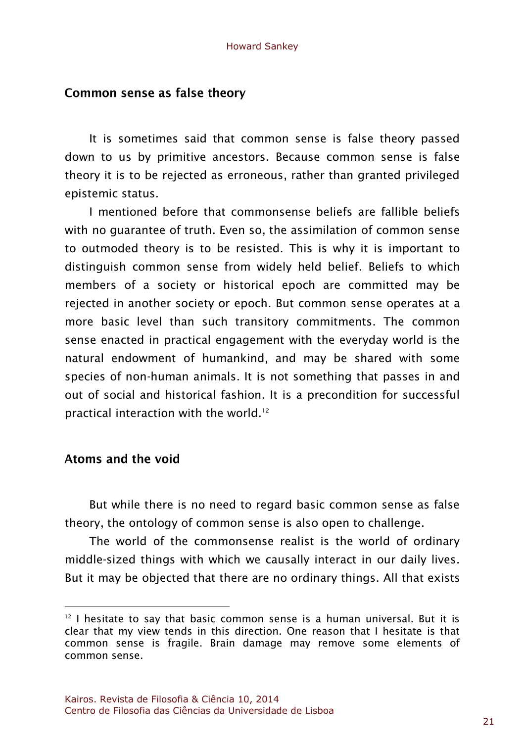#### Common sense as false theory

It is sometimes said that common sense is false theory passed down to us by primitive ancestors. Because common sense is false theory it is to be rejected as erroneous, rather than granted privileged epistemic status.

I mentioned before that commonsense beliefs are fallible beliefs with no guarantee of truth. Even so, the assimilation of common sense to outmoded theory is to be resisted. This is why it is important to distinguish common sense from widely held belief. Beliefs to which members of a society or historical epoch are committed may be rejected in another society or epoch. But common sense operates at a more basic level than such transitory commitments. The common sense enacted in practical engagement with the everyday world is the natural endowment of humankind, and may be shared with some species of non-human animals. It is not something that passes in and out of social and historical fashion. It is a precondition for successful practical interaction with the world.<sup>12</sup>

# Atoms and the void

 $\overline{a}$ 

But while there is no need to regard basic common sense as false theory, the ontology of common sense is also open to challenge.

The world of the commonsense realist is the world of ordinary middle-sized things with which we causally interact in our daily lives. But it may be objected that there are no ordinary things. All that exists

 $12$  I hesitate to say that basic common sense is a human universal. But it is clear that my view tends in this direction. One reason that I hesitate is that common sense is fragile. Brain damage may remove some elements of common sense.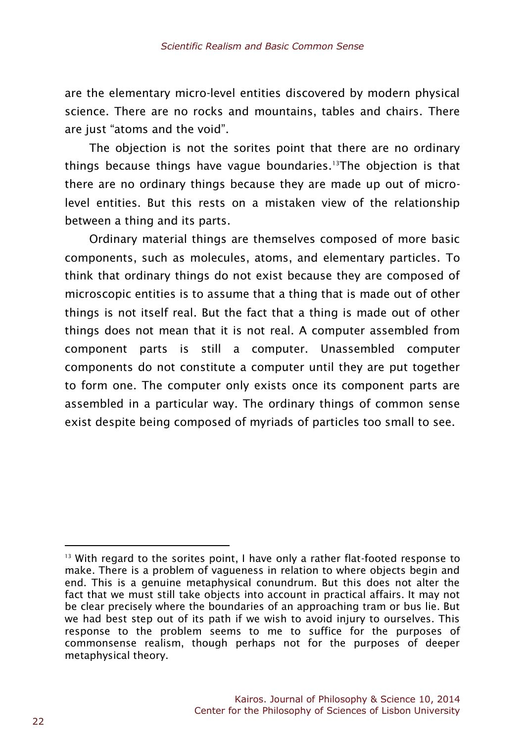are the elementary micro-level entities discovered by modern physical science. There are no rocks and mountains, tables and chairs. There are just "atoms and the void".

The objection is not the sorites point that there are no ordinary things because things have vague boundaries.<sup>13</sup>The objection is that there are no ordinary things because they are made up out of microlevel entities. But this rests on a mistaken view of the relationship between a thing and its parts.

Ordinary material things are themselves composed of more basic components, such as molecules, atoms, and elementary particles. To think that ordinary things do not exist because they are composed of microscopic entities is to assume that a thing that is made out of other things is not itself real. But the fact that a thing is made out of other things does not mean that it is not real. A computer assembled from component parts is still a computer. Unassembled computer components do not constitute a computer until they are put together to form one. The computer only exists once its component parts are assembled in a particular way. The ordinary things of common sense exist despite being composed of myriads of particles too small to see.

 $13$  With regard to the sorites point. I have only a rather flat-footed response to make. There is a problem of vagueness in relation to where objects begin and end. This is a genuine metaphysical conundrum. But this does not alter the fact that we must still take objects into account in practical affairs. It may not be clear precisely where the boundaries of an approaching tram or bus lie. But we had best step out of its path if we wish to avoid injury to ourselves. This response to the problem seems to me to suffice for the purposes of commonsense realism, though perhaps not for the purposes of deeper metaphysical theory.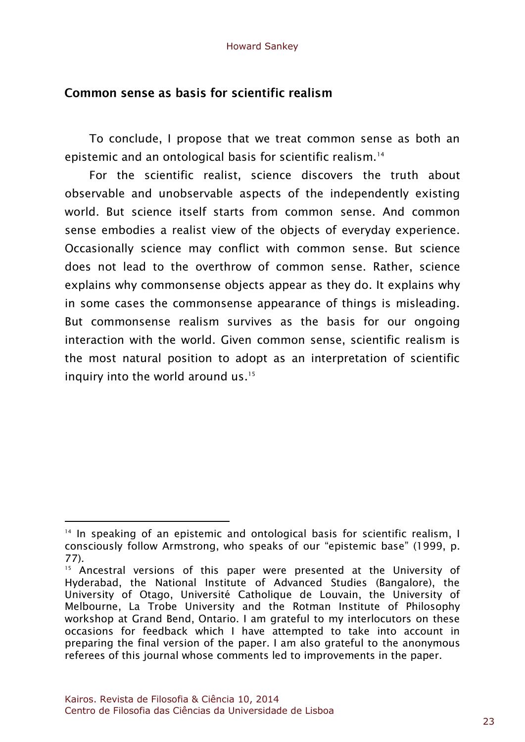# Common sense as basis for scientific realism

To conclude, I propose that we treat common sense as both an epistemic and an ontological basis for scientific realism.<sup>14</sup>

For the scientific realist, science discovers the truth about observable and unobservable aspects of the independently existing world. But science itself starts from common sense. And common sense embodies a realist view of the objects of everyday experience. Occasionally science may conflict with common sense. But science does not lead to the overthrow of common sense. Rather, science explains why commonsense objects appear as they do. It explains why in some cases the commonsense appearance of things is misleading. But commonsense realism survives as the basis for our ongoing interaction with the world. Given common sense, scientific realism is the most natural position to adopt as an interpretation of scientific inquiry into the world around us.<sup>15</sup>

l

<sup>14</sup> In speaking of an epistemic and ontological basis for scientific realism, I consciously follow Armstrong, who speaks of our "epistemic base" (1999, p. 77).

<sup>&</sup>lt;sup>15</sup> Ancestral versions of this paper were presented at the University of Hyderabad, the National Institute of Advanced Studies (Bangalore), the University of Otago, Université Catholique de Louvain, the University of Melbourne, La Trobe University and the Rotman Institute of Philosophy workshop at Grand Bend, Ontario. I am grateful to my interlocutors on these occasions for feedback which I have attempted to take into account in preparing the final version of the paper. I am also grateful to the anonymous referees of this journal whose comments led to improvements in the paper.